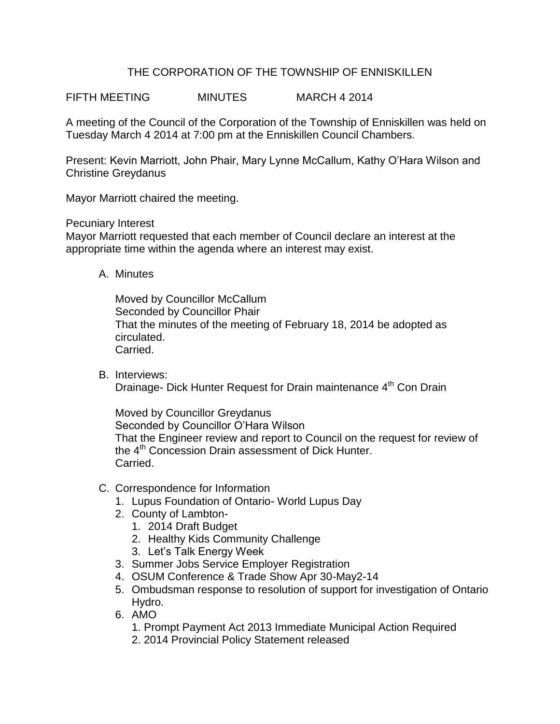# THE CORPORATION OF THE TOWNSHIP OF ENNISKILLEN

FIFTH MEETING MINUTES MARCH 4 2014

A meeting of the Council of the Corporation of the Township of Enniskillen was held on Tuesday March 4 2014 at 7:00 pm at the Enniskillen Council Chambers.

Present: Kevin Marriott, John Phair, Mary Lynne McCallum, Kathy O'Hara Wilson and Christine Greydanus

Mayor Marriott chaired the meeting.

Pecuniary Interest

Mayor Marriott requested that each member of Council declare an interest at the appropriate time within the agenda where an interest may exist.

A. Minutes

Moved by Councillor McCallum Seconded by Councillor Phair That the minutes of the meeting of February 18, 2014 be adopted as circulated. Carried.

B. Interviews: Drainage- Dick Hunter Request for Drain maintenance 4<sup>th</sup> Con Drain

Moved by Councillor Greydanus Seconded by Councillor O'Hara Wilson That the Engineer review and report to Council on the request for review of the 4<sup>th</sup> Concession Drain assessment of Dick Hunter. Carried.

- C. Correspondence for Information
	- 1. Lupus Foundation of Ontario- World Lupus Day
	- 2. County of Lambton-
		- 1. 2014 Draft Budget
		- 2. Healthy Kids Community Challenge
		- 3. Let's Talk Energy Week
	- 3. Summer Jobs Service Employer Registration
	- 4. OSUM Conference & Trade Show Apr 30-May2-14
	- 5. Ombudsman response to resolution of support for investigation of Ontario Hydro.
	- 6. AMO
		- 1. Prompt Payment Act 2013 Immediate Municipal Action Required
		- 2. 2014 Provincial Policy Statement released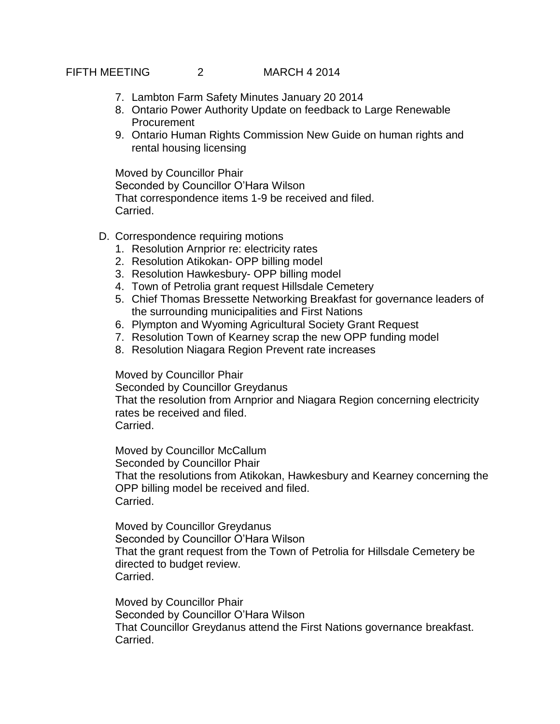# FIFTH MEETING 2 MARCH 4 2014

- 7. Lambton Farm Safety Minutes January 20 2014
- 8. Ontario Power Authority Update on feedback to Large Renewable **Procurement**
- 9. Ontario Human Rights Commission New Guide on human rights and rental housing licensing

Moved by Councillor Phair Seconded by Councillor O'Hara Wilson That correspondence items 1-9 be received and filed. Carried.

- D. Correspondence requiring motions
	- 1. Resolution Arnprior re: electricity rates
	- 2. Resolution Atikokan- OPP billing model
	- 3. Resolution Hawkesbury- OPP billing model
	- 4. Town of Petrolia grant request Hillsdale Cemetery
	- 5. Chief Thomas Bressette Networking Breakfast for governance leaders of the surrounding municipalities and First Nations
	- 6. Plympton and Wyoming Agricultural Society Grant Request
	- 7. Resolution Town of Kearney scrap the new OPP funding model
	- 8. Resolution Niagara Region Prevent rate increases

Moved by Councillor Phair

Seconded by Councillor Greydanus That the resolution from Arnprior and Niagara Region concerning electricity rates be received and filed. Carried.

Moved by Councillor McCallum Seconded by Councillor Phair That the resolutions from Atikokan, Hawkesbury and Kearney concerning the OPP billing model be received and filed. Carried.

Moved by Councillor Greydanus Seconded by Councillor O'Hara Wilson That the grant request from the Town of Petrolia for Hillsdale Cemetery be directed to budget review. Carried.

Moved by Councillor Phair Seconded by Councillor O'Hara Wilson That Councillor Greydanus attend the First Nations governance breakfast. Carried.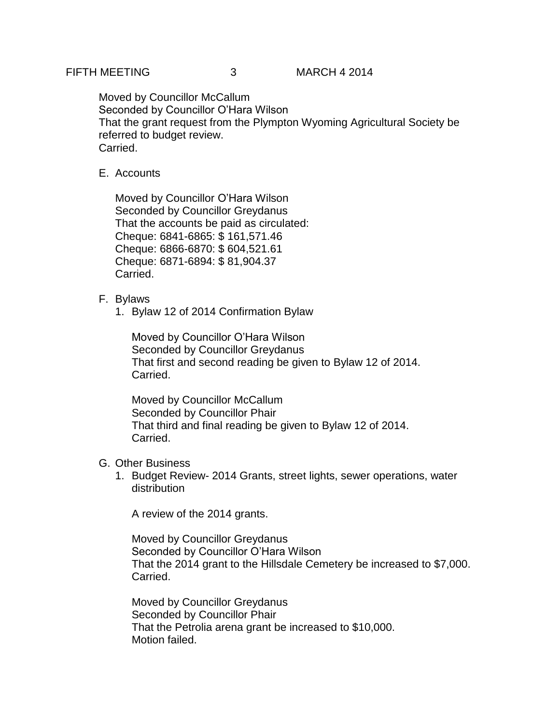Moved by Councillor McCallum Seconded by Councillor O'Hara Wilson That the grant request from the Plympton Wyoming Agricultural Society be referred to budget review. Carried.

# E. Accounts

Moved by Councillor O'Hara Wilson Seconded by Councillor Greydanus That the accounts be paid as circulated: Cheque: 6841-6865: \$ 161,571.46 Cheque: 6866-6870: \$ 604,521.61 Cheque: 6871-6894: \$ 81,904.37 Carried.

## F. Bylaws

1. Bylaw 12 of 2014 Confirmation Bylaw

Moved by Councillor O'Hara Wilson Seconded by Councillor Greydanus That first and second reading be given to Bylaw 12 of 2014. Carried.

Moved by Councillor McCallum Seconded by Councillor Phair That third and final reading be given to Bylaw 12 of 2014. Carried.

### G. Other Business

1. Budget Review- 2014 Grants, street lights, sewer operations, water distribution

A review of the 2014 grants.

Moved by Councillor Greydanus Seconded by Councillor O'Hara Wilson That the 2014 grant to the Hillsdale Cemetery be increased to \$7,000. Carried.

Moved by Councillor Greydanus Seconded by Councillor Phair That the Petrolia arena grant be increased to \$10,000. Motion failed.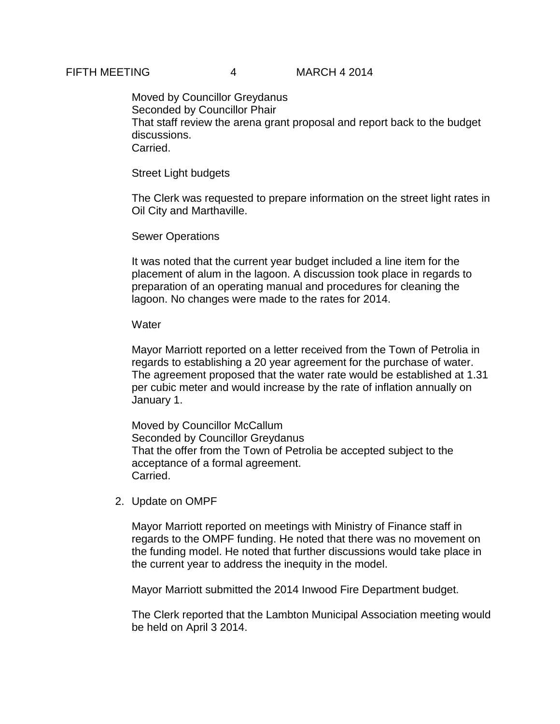#### FIFTH MEETING 4 MARCH 4 2014

Moved by Councillor Greydanus Seconded by Councillor Phair That staff review the arena grant proposal and report back to the budget discussions. Carried.

Street Light budgets

The Clerk was requested to prepare information on the street light rates in Oil City and Marthaville.

Sewer Operations

It was noted that the current year budget included a line item for the placement of alum in the lagoon. A discussion took place in regards to preparation of an operating manual and procedures for cleaning the lagoon. No changes were made to the rates for 2014.

#### **Water**

Mayor Marriott reported on a letter received from the Town of Petrolia in regards to establishing a 20 year agreement for the purchase of water. The agreement proposed that the water rate would be established at 1.31 per cubic meter and would increase by the rate of inflation annually on January 1.

Moved by Councillor McCallum Seconded by Councillor Greydanus That the offer from the Town of Petrolia be accepted subject to the acceptance of a formal agreement. Carried.

2. Update on OMPF

Mayor Marriott reported on meetings with Ministry of Finance staff in regards to the OMPF funding. He noted that there was no movement on the funding model. He noted that further discussions would take place in the current year to address the inequity in the model.

Mayor Marriott submitted the 2014 Inwood Fire Department budget.

The Clerk reported that the Lambton Municipal Association meeting would be held on April 3 2014.